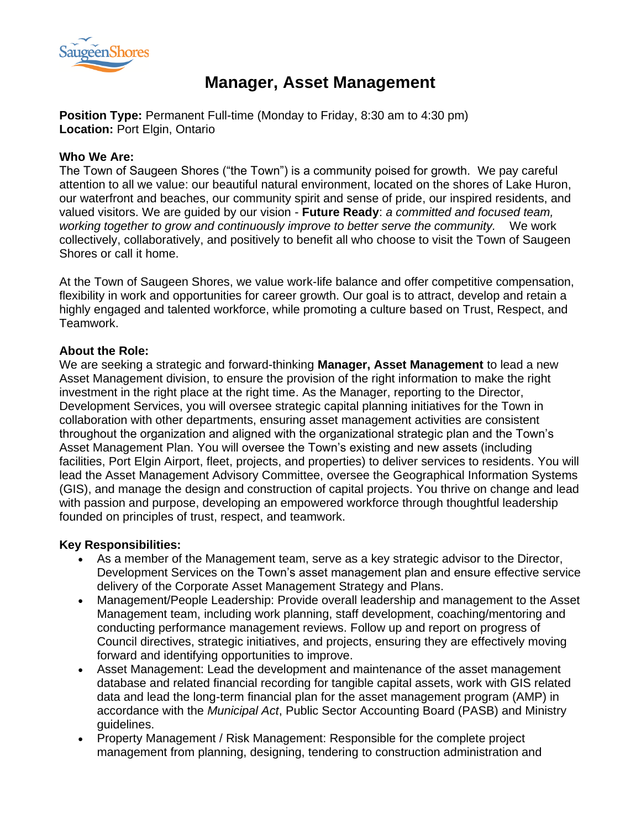

# **Manager, Asset Management**

**Position Type:** Permanent Full-time (Monday to Friday, 8:30 am to 4:30 pm) **Location:** Port Elgin, Ontario

#### **Who We Are:**

The Town of Saugeen Shores ("the Town") is a community poised for growth. We pay careful attention to all we value: our beautiful natural environment, located on the shores of Lake Huron, our waterfront and beaches, our community spirit and sense of pride, our inspired residents, and valued visitors. We are guided by our vision - **Future Ready**: *a committed and focused team, working together to grow and continuously improve to better serve the community.* We work collectively, collaboratively, and positively to benefit all who choose to visit the Town of Saugeen Shores or call it home.

At the Town of Saugeen Shores, we value work-life balance and offer competitive compensation, flexibility in work and opportunities for career growth. Our goal is to attract, develop and retain a highly engaged and talented workforce, while promoting a culture based on Trust, Respect, and Teamwork.

## **About the Role:**

We are seeking a strategic and forward-thinking **Manager, Asset Management** to lead a new Asset Management division, to ensure the provision of the right information to make the right investment in the right place at the right time. As the Manager, reporting to the Director, Development Services, you will oversee strategic capital planning initiatives for the Town in collaboration with other departments, ensuring asset management activities are consistent throughout the organization and aligned with the organizational strategic plan and the Town's Asset Management Plan. You will oversee the Town's existing and new assets (including facilities, Port Elgin Airport, fleet, projects, and properties) to deliver services to residents. You will lead the Asset Management Advisory Committee, oversee the Geographical Information Systems (GIS), and manage the design and construction of capital projects. You thrive on change and lead with passion and purpose, developing an empowered workforce through thoughtful leadership founded on principles of trust, respect, and teamwork.

# **Key Responsibilities:**

- As a member of the Management team, serve as a key strategic advisor to the Director, Development Services on the Town's asset management plan and ensure effective service delivery of the Corporate Asset Management Strategy and Plans.
- Management/People Leadership: Provide overall leadership and management to the Asset Management team, including work planning, staff development, coaching/mentoring and conducting performance management reviews. Follow up and report on progress of Council directives, strategic initiatives, and projects, ensuring they are effectively moving forward and identifying opportunities to improve.
- Asset Management: Lead the development and maintenance of the asset management database and related financial recording for tangible capital assets, work with GIS related data and lead the long-term financial plan for the asset management program (AMP) in accordance with the *Municipal Act*, Public Sector Accounting Board (PASB) and Ministry guidelines.
- Property Management / Risk Management: Responsible for the complete project management from planning, designing, tendering to construction administration and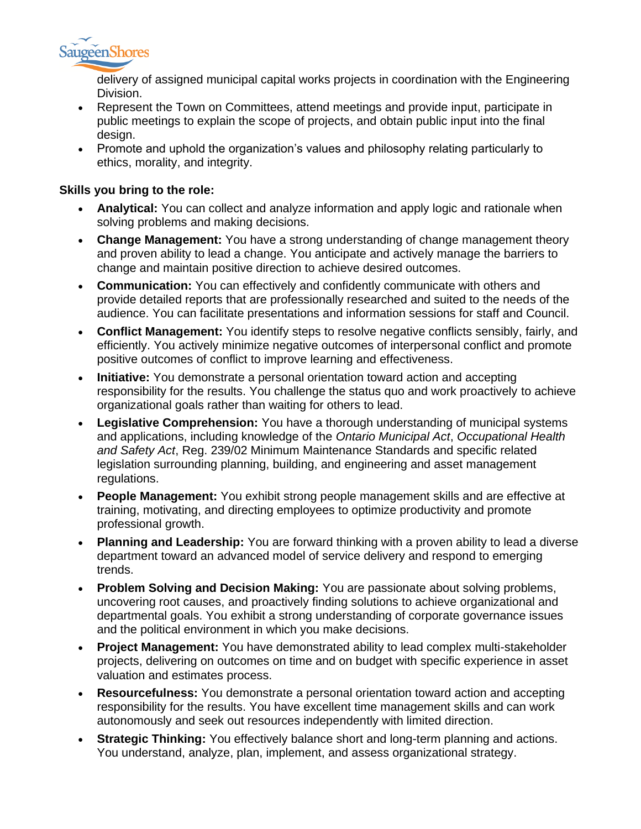

delivery of assigned municipal capital works projects in coordination with the Engineering Division.

- Represent the Town on Committees, attend meetings and provide input, participate in public meetings to explain the scope of projects, and obtain public input into the final design.
- Promote and uphold the organization's values and philosophy relating particularly to ethics, morality, and integrity.

## **Skills you bring to the role:**

- **Analytical:** You can collect and analyze information and apply logic and rationale when solving problems and making decisions.
- **Change Management:** You have a strong understanding of change management theory and proven ability to lead a change. You anticipate and actively manage the barriers to change and maintain positive direction to achieve desired outcomes.
- **Communication:** You can effectively and confidently communicate with others and provide detailed reports that are professionally researched and suited to the needs of the audience. You can facilitate presentations and information sessions for staff and Council.
- **Conflict Management:** You identify steps to resolve negative conflicts sensibly, fairly, and efficiently. You actively minimize negative outcomes of interpersonal conflict and promote positive outcomes of conflict to improve learning and effectiveness.
- **Initiative:** You demonstrate a personal orientation toward action and accepting responsibility for the results. You challenge the status quo and work proactively to achieve organizational goals rather than waiting for others to lead.
- **Legislative Comprehension:** You have a thorough understanding of municipal systems and applications, including knowledge of the *Ontario Municipal Act*, *Occupational Health and Safety Act*, Reg. 239/02 Minimum Maintenance Standards and specific related legislation surrounding planning, building, and engineering and asset management regulations.
- **People Management:** You exhibit strong people management skills and are effective at training, motivating, and directing employees to optimize productivity and promote professional growth.
- **Planning and Leadership:** You are forward thinking with a proven ability to lead a diverse department toward an advanced model of service delivery and respond to emerging trends.
- **Problem Solving and Decision Making:** You are passionate about solving problems, uncovering root causes, and proactively finding solutions to achieve organizational and departmental goals. You exhibit a strong understanding of corporate governance issues and the political environment in which you make decisions.
- **Project Management:** You have demonstrated ability to lead complex multi-stakeholder projects, delivering on outcomes on time and on budget with specific experience in asset valuation and estimates process.
- **Resourcefulness:** You demonstrate a personal orientation toward action and accepting responsibility for the results. You have excellent time management skills and can work autonomously and seek out resources independently with limited direction.
- **Strategic Thinking:** You effectively balance short and long-term planning and actions. You understand, analyze, plan, implement, and assess organizational strategy.